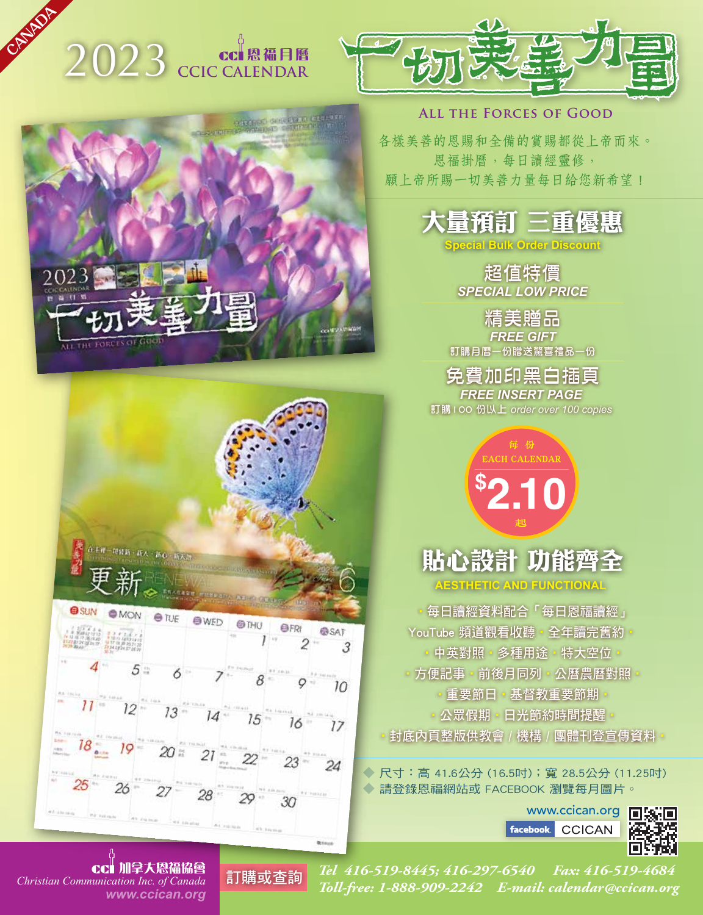# 2023 **CCIC CALENDAR**

OUTLED OF LEAD

**U. S. A. CANADA**



#### **All the Forces of Good**

各樣美善的恩賜和全備的賞賜都從上帝而來。 恩福掛曆,每日讀經靈修, 願上帝所賜一切美善力量每日給您新希望!



**Special Bulk Order Discount**

超值特價 *SPECIAL LOW PRICE*

精美贈品 *FREE GIFT* 訂購月曆一份贈送驚喜禮品一份

免費加印黑白插頁 *FREE INSERT PAGE*  訂購100 份以上 *order over 100 copies*

> **\$ 2.10** 每 份 CH CALENDAR 起

### 貼心設計 功能齊 **AESTHETIC AND FUNCTIONAL**

‧每日讀經資料配合「每日恩福讀經」 YouTube 頻道觀看收聽 · 全年讀完舊約 中英對照 · 多種用途 · 特大空位 □方便記事‧前後月同列‧公曆農曆對照 ●重要節日●基督教重要節期 ●公眾假期●日光節約時間提醒 ●封底內頁整版供教會 / 機構 / 團體刊登宣傳資料 •

◆ 尺寸:高 41.6公分 (16.5吋);寬 28.5公分 (11.25吋) ◆ 請登錄恩福網站或 FACEBOOK 瀏覽每月圖片。

> www.ccican.org **facebook CCICAN**





3  $10$  $12$  $13 14 15 16 17$  $18 -$ 23 24  $26 -$ 27 28

*www.ccican.org* 加拿大恩福協會

 $arcs$ 

*Tel 416-519-8445; 416-297-6540 Fax: 416-519-4684 Toll-free: 1-888-909-2242 E-mail: calendar@ccican.org Christian Communication Inc. of Canada* 訂購或查詢